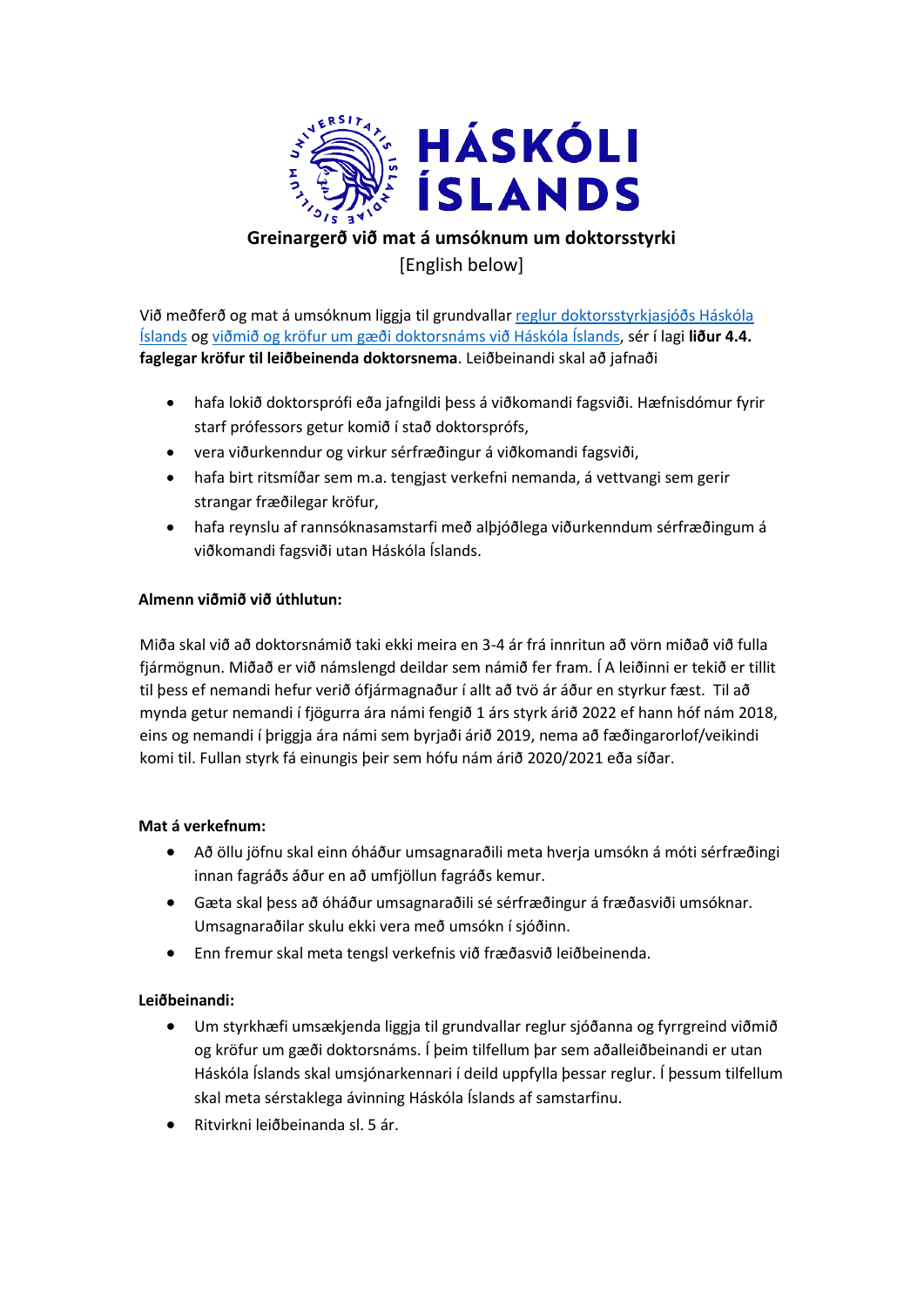

# **Greinargerð við mat á umsóknum um doktorsstyrki** [English below]

Við meðferð og mat á umsóknum liggja til grundvallar [reglur doktorsstyrkjasjóðs Háskóla](https://www.hi.is/haskolinn/reglur_um_doktorsstyrkjasjod_haskola_islands)  [Íslands](https://www.hi.is/haskolinn/reglur_um_doktorsstyrkjasjod_haskola_islands) o[g viðmið og kröfur um gæði doktorsnáms við Háskóla Íslands,](https://www.hi.is/haskolinn/vidmid_og_krofur_um_gaedi_doktorsnams_vid_hi) sér í lagi **liður 4.4. faglegar kröfur til leiðbeinenda doktorsnema**. Leiðbeinandi skal að jafnaði

- hafa lokið doktorsprófi eða jafngildi þess á viðkomandi fagsviði. Hæfnisdómur fyrir starf prófessors getur komið í stað doktorsprófs,
- vera viðurkenndur og virkur sérfræðingur á viðkomandi fagsviði,
- hafa birt ritsmíðar sem m.a. tengjast verkefni nemanda, á vettvangi sem gerir strangar fræðilegar kröfur,
- hafa reynslu af rannsóknasamstarfi með alþjóðlega viðurkenndum sérfræðingum á viðkomandi fagsviði utan Háskóla Íslands.

#### **Almenn viðmið við úthlutun:**

Miða skal við að doktorsnámið taki ekki meira en 3-4 ár frá innritun að vörn miðað við fulla fjármögnun. Miðað er við námslengd deildar sem námið fer fram. Í A leiðinni er tekið er tillit til þess ef nemandi hefur verið ófjármagnaður í allt að tvö ár áður en styrkur fæst. Til að mynda getur nemandi í fjögurra ára námi fengið 1 árs styrk árið 2022 ef hann hóf nám 2018, eins og nemandi í þriggja ára námi sem byrjaði árið 2019, nema að fæðingarorlof/veikindi komi til. Fullan styrk fá einungis þeir sem hófu nám árið 2020/2021 eða síðar.

#### **Mat á verkefnum:**

- Að öllu jöfnu skal einn óháður umsagnaraðili meta hverja umsókn á móti sérfræðingi innan fagráðs áður en að umfjöllun fagráðs kemur.
- Gæta skal þess að óháður umsagnaraðili sé sérfræðingur á fræðasviði umsóknar. Umsagnaraðilar skulu ekki vera með umsókn í sjóðinn.
- Enn fremur skal meta tengsl verkefnis við fræðasvið leiðbeinenda.

#### **Leiðbeinandi:**

- Um styrkhæfi umsækjenda liggja til grundvallar reglur sjóðanna og fyrrgreind viðmið og kröfur um gæði doktorsnáms. Í þeim tilfellum þar sem aðalleiðbeinandi er utan Háskóla Íslands skal umsjónarkennari í deild uppfylla þessar reglur. Í þessum tilfellum skal meta sérstaklega ávinning Háskóla Íslands af samstarfinu.
- Ritvirkni leiðbeinanda sl. 5 ár.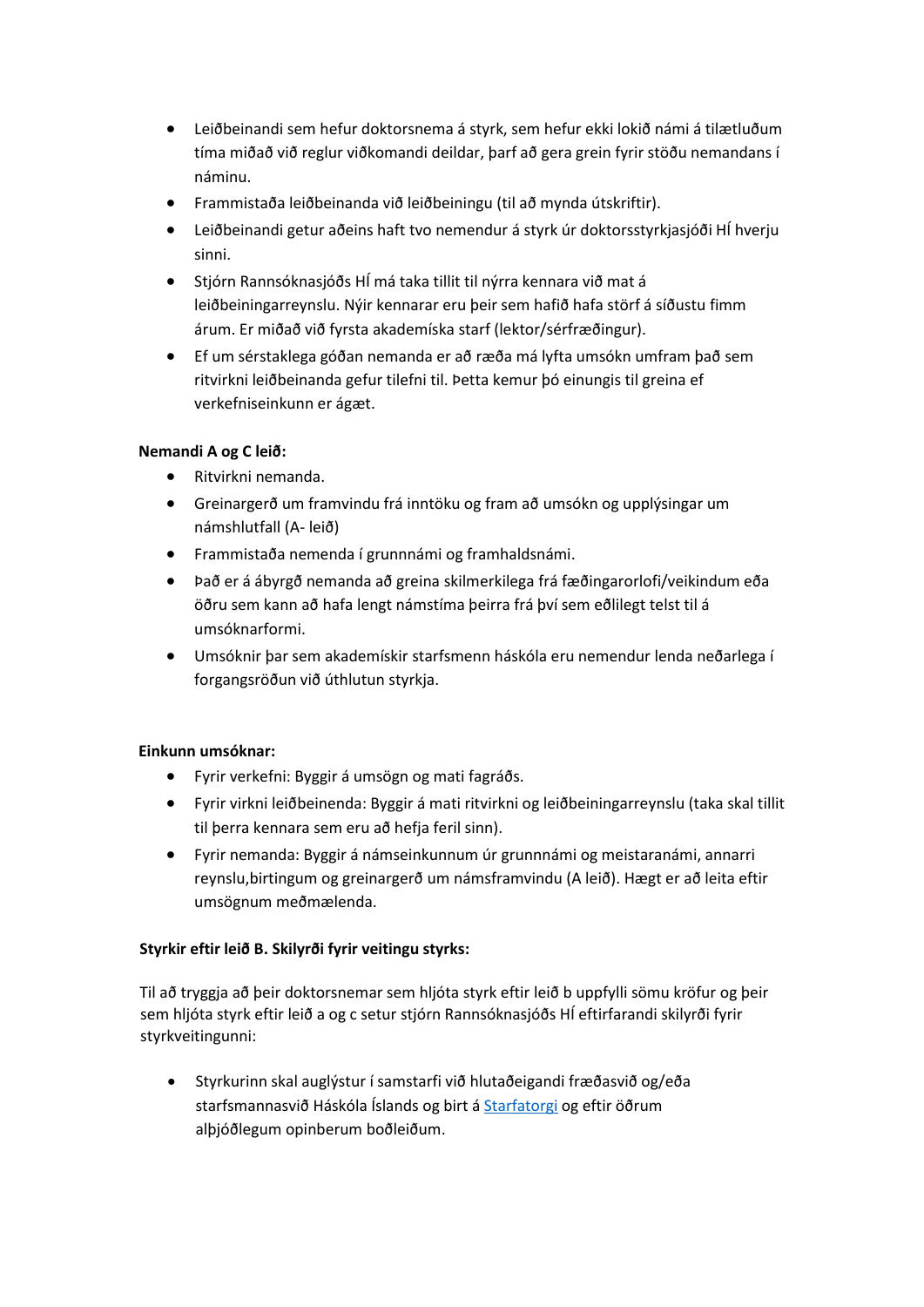- Leiðbeinandi sem hefur doktorsnema á styrk, sem hefur ekki lokið námi á tilætluðum tíma miðað við reglur viðkomandi deildar, þarf að gera grein fyrir stöðu nemandans í náminu.
- Frammistaða leiðbeinanda við leiðbeiningu (til að mynda útskriftir).
- Leiðbeinandi getur aðeins haft tvo nemendur á styrk úr doktorsstyrkjasjóði HÍ hverju sinni.
- Stjórn Rannsóknasjóðs HÍ má taka tillit til nýrra kennara við mat á leiðbeiningarreynslu. Nýir kennarar eru þeir sem hafið hafa störf á síðustu fimm árum. Er miðað við fyrsta akademíska starf (lektor/sérfræðingur).
- Ef um sérstaklega góðan nemanda er að ræða má lyfta umsókn umfram það sem ritvirkni leiðbeinanda gefur tilefni til. Þetta kemur þó einungis til greina ef verkefniseinkunn er ágæt.

## **Nemandi A og C leið:**

- Ritvirkni nemanda.
- Greinargerð um framvindu frá inntöku og fram að umsókn og upplýsingar um námshlutfall (A- leið)
- Frammistaða nemenda í grunnnámi og framhaldsnámi.
- Það er á ábyrgð nemanda að greina skilmerkilega frá fæðingarorlofi/veikindum eða öðru sem kann að hafa lengt námstíma þeirra frá því sem eðlilegt telst til á umsóknarformi.
- Umsóknir þar sem akademískir starfsmenn háskóla eru nemendur lenda neðarlega í forgangsröðun við úthlutun styrkja.

#### **Einkunn umsóknar:**

- Fyrir verkefni: Byggir á umsögn og mati fagráðs.
- Fyrir virkni leiðbeinenda: Byggir á mati ritvirkni og leiðbeiningarreynslu (taka skal tillit til þerra kennara sem eru að hefja feril sinn).
- Fyrir nemanda: Byggir á námseinkunnum úr grunnnámi og meistaranámi, annarri reynslu,birtingum og greinargerð um námsframvindu (A leið). Hægt er að leita eftir umsögnum meðmælenda.

## **Styrkir eftir leið B. Skilyrði fyrir veitingu styrks:**

Til að tryggja að þeir doktorsnemar sem hljóta styrk eftir leið b uppfylli sömu kröfur og þeir sem hljóta styrk eftir leið a og c setur stjórn Rannsóknasjóðs HÍ eftirfarandi skilyrði fyrir styrkveitingunni:

• Styrkurinn skal auglýstur í samstarfi við hlutaðeigandi fræðasvið og/eða starfsmannasvið Háskóla Íslands og birt á [Starfatorgi](https://www.stjornarradid.is/efst-a-baugi/laus-storf-a-starfatorgi/) og eftir öðrum alþjóðlegum opinberum boðleiðum.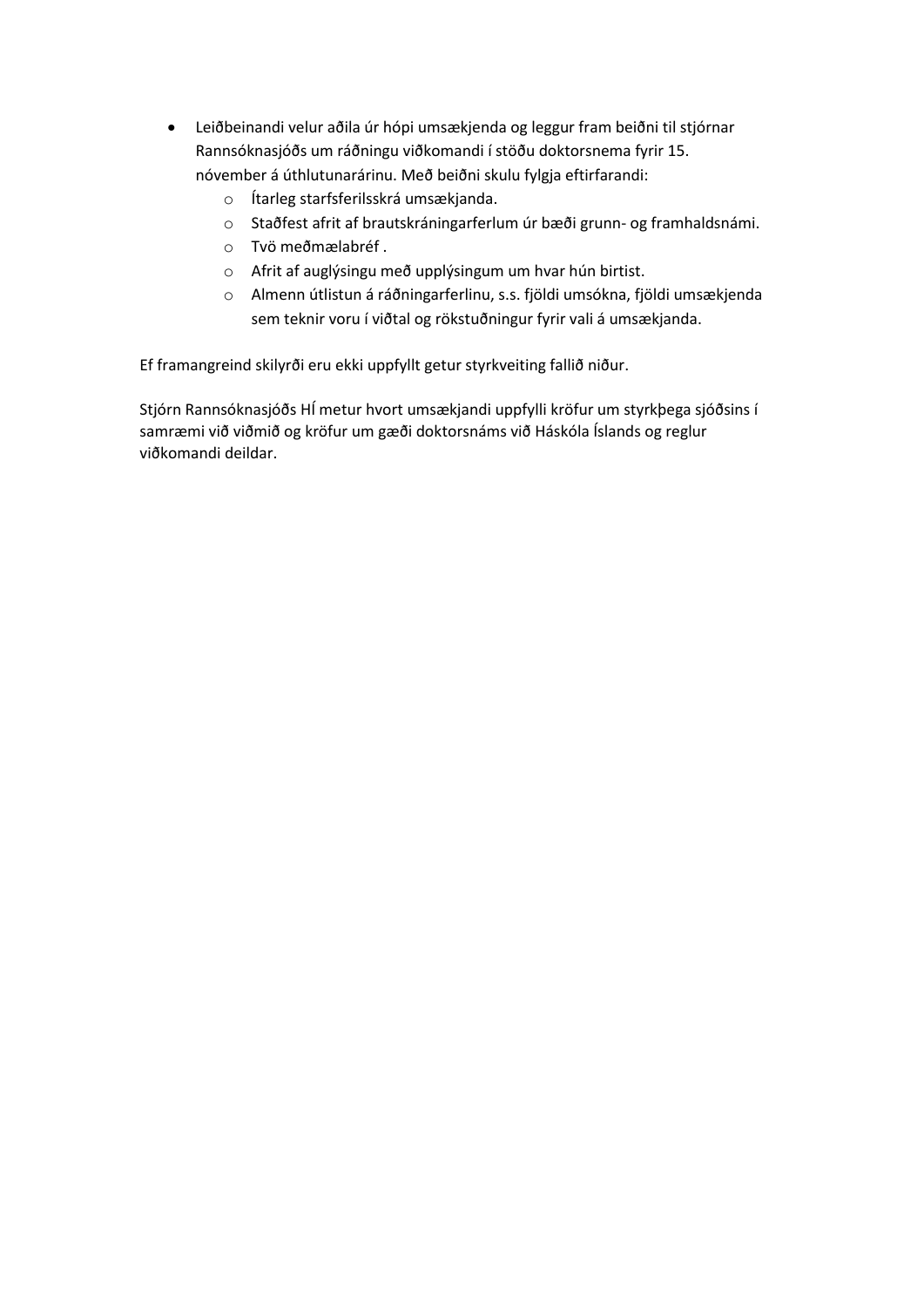- Leiðbeinandi velur aðila úr hópi umsækjenda og leggur fram beiðni til stjórnar Rannsóknasjóðs um ráðningu viðkomandi í stöðu doktorsnema fyrir 15. nóvember á úthlutunarárinu. Með beiðni skulu fylgja eftirfarandi:
	- o Ítarleg starfsferilsskrá umsækjanda.
	- o Staðfest afrit af brautskráningarferlum úr bæði grunn- og framhaldsnámi.
	- o Tvö meðmælabréf .
	- o Afrit af auglýsingu með upplýsingum um hvar hún birtist.
	- o Almenn útlistun á ráðningarferlinu, s.s. fjöldi umsókna, fjöldi umsækjenda sem teknir voru í viðtal og rökstuðningur fyrir vali á umsækjanda.

Ef framangreind skilyrði eru ekki uppfyllt getur styrkveiting fallið niður.

Stjórn Rannsóknasjóðs HÍ metur hvort umsækjandi uppfylli kröfur um styrkþega sjóðsins í samræmi við viðmið og kröfur um gæði doktorsnáms við Háskóla Íslands og reglur viðkomandi deildar.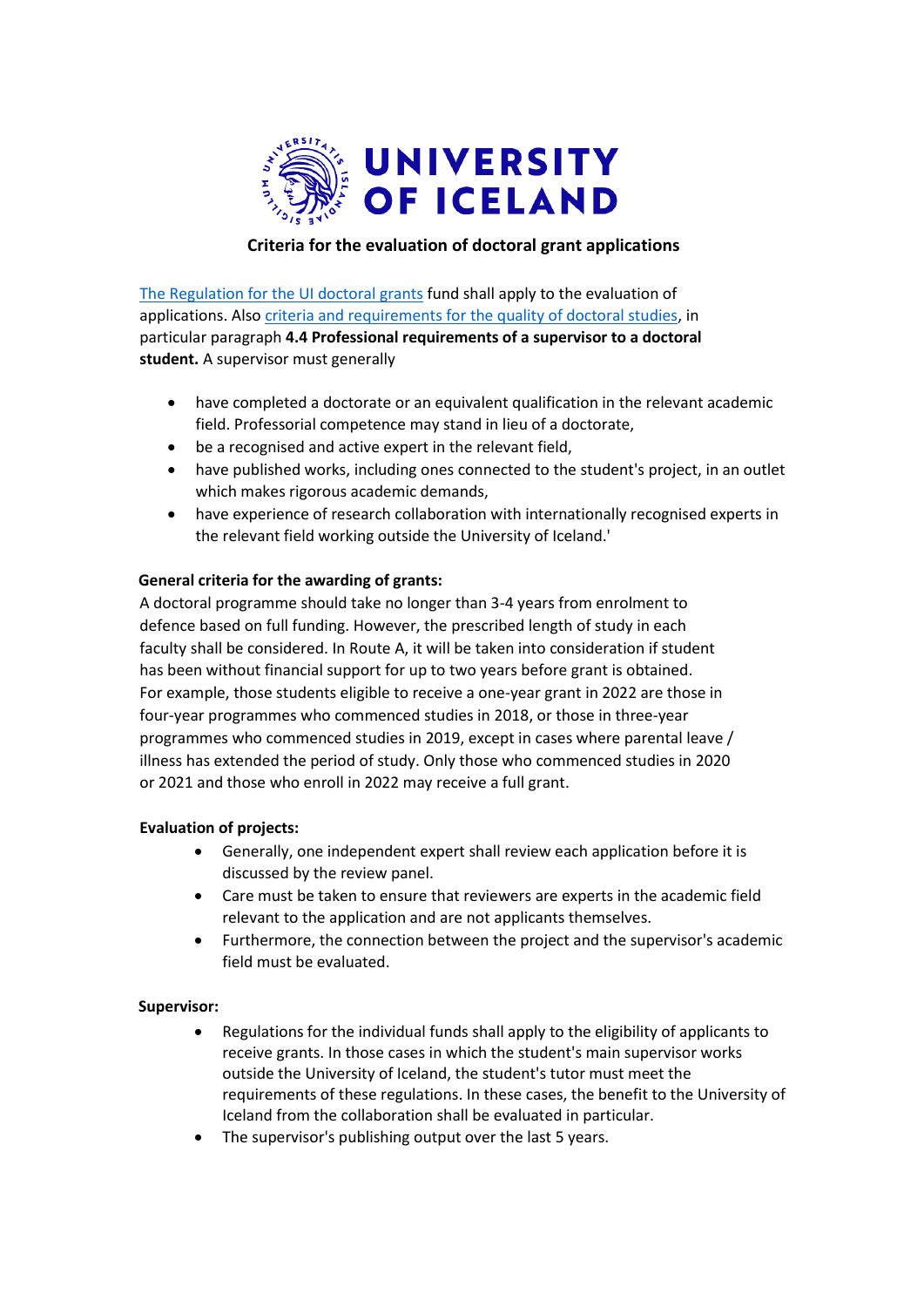

### **Criteria for the evaluation of doctoral grant applications**

[The Regulation for the UI doctoral grants](http://sjodir.hi.is/node/16129) fund shall apply to the evaluation of applications. Als[o criteria and requirements for the quality of doctoral studies,](https://english.hi.is/university/standards_and_requirements_quality_of_doctoral_programmes) in particular paragraph **4.4 Professional requirements of a supervisor to a doctoral student.** A supervisor must generally

- have completed a doctorate or an equivalent qualification in the relevant academic field. Professorial competence may stand in lieu of a doctorate,
- be a recognised and active expert in the relevant field,
- have published works, including ones connected to the student's project, in an outlet which makes rigorous academic demands,
- have experience of research collaboration with internationally recognised experts in the relevant field working outside the University of Iceland.'

#### **General criteria for the awarding of grants:**

A doctoral programme should take no longer than 3-4 years from enrolment to defence based on full funding. However, the prescribed length of study in each faculty shall be considered. In Route A, it will be taken into consideration if student has been without financial support for up to two years before grant is obtained. For example, those students eligible to receive a one-year grant in 2022 are those in four-year programmes who commenced studies in 2018, or those in three-year programmes who commenced studies in 2019, except in cases where parental leave / illness has extended the period of study. Only those who commenced studies in 2020 or 2021 and those who enroll in 2022 may receive a full grant.

#### **Evaluation of projects:**

- Generally, one independent expert shall review each application before it is discussed by the review panel.
- Care must be taken to ensure that reviewers are experts in the academic field relevant to the application and are not applicants themselves.
- Furthermore, the connection between the project and the supervisor's academic field must be evaluated.

#### **Supervisor:**

- Regulations for the individual funds shall apply to the eligibility of applicants to receive grants. In those cases in which the student's main supervisor works outside the University of Iceland, the student's tutor must meet the requirements of these regulations. In these cases, the benefit to the University of Iceland from the collaboration shall be evaluated in particular.
- The supervisor's publishing output over the last 5 years.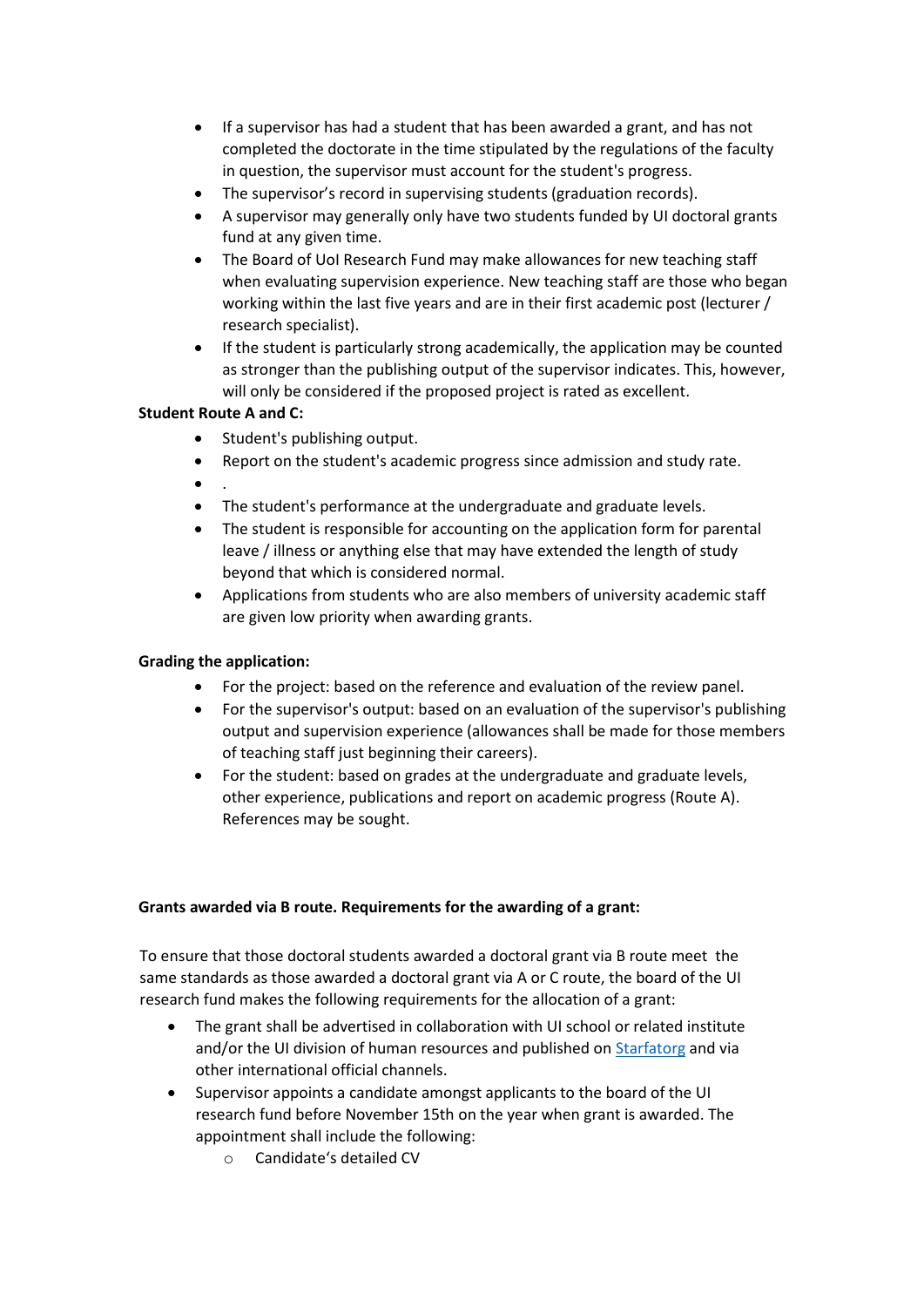- If a supervisor has had a student that has been awarded a grant, and has not completed the doctorate in the time stipulated by the regulations of the faculty in question, the supervisor must account for the student's progress.
- The supervisor's record in supervising students (graduation records).
- A supervisor may generally only have two students funded by UI doctoral grants fund at any given time.
- The Board of UoI Research Fund may make allowances for new teaching staff when evaluating supervision experience. New teaching staff are those who began working within the last five years and are in their first academic post (lecturer / research specialist).
- If the student is particularly strong academically, the application may be counted as stronger than the publishing output of the supervisor indicates. This, however, will only be considered if the proposed project is rated as excellent.

#### **Student Route A and C:**

- Student's publishing output.
- Report on the student's academic progress since admission and study rate.
- .
- The student's performance at the undergraduate and graduate levels.
- The student is responsible for accounting on the application form for parental leave / illness or anything else that may have extended the length of study beyond that which is considered normal.
- Applications from students who are also members of university academic staff are given low priority when awarding grants.

### **Grading the application:**

- For the project: based on the reference and evaluation of the review panel.
- For the supervisor's output: based on an evaluation of the supervisor's publishing output and supervision experience (allowances shall be made for those members of teaching staff just beginning their careers).
- For the student: based on grades at the undergraduate and graduate levels, other experience, publications and report on academic progress (Route A). References may be sought.

#### **Grants awarded via B route. Requirements for the awarding of a grant:**

To ensure that those doctoral students awarded a doctoral grant via B route meet the same standards as those awarded a doctoral grant via A or C route, the board of the UI research fund makes the following requirements for the allocation of a grant:

- The grant shall be advertised in collaboration with UI school or related institute and/or the UI division of human resources and published o[n Starfatorg](https://www.stjornarradid.is/efst-a-baugi/laus-storf-a-starfatorgi/) and via other international official channels.
- Supervisor appoints a candidate amongst applicants to the board of the UI research fund before November 15th on the year when grant is awarded. The appointment shall include the following:
	- o Candidate's detailed CV